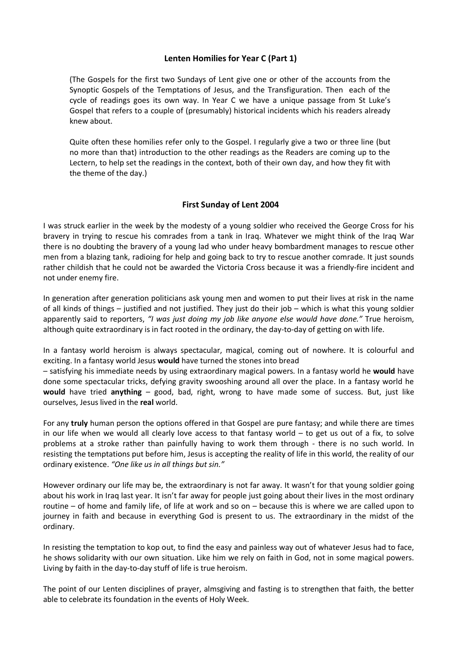#### **Lenten Homilies for Year C (Part 1)**

(The Gospels for the first two Sundays of Lent give one or other of the accounts from the Synoptic Gospels of the Temptations of Jesus, and the Transfiguration. Then each of the cycle of readings goes its own way. In Year C we have a unique passage from St Luke's Gospel that refers to a couple of (presumably) historical incidents which his readers already knew about.

Quite often these homilies refer only to the Gospel. I regularly give a two or three line (but no more than that) introduction to the other readings as the Readers are coming up to the Lectern, to help set the readings in the context, both of their own day, and how they fit with the theme of the day.)

#### **First Sunday of Lent 2004**

I was struck earlier in the week by the modesty of a young soldier who received the George Cross for his bravery in trying to rescue his comrades from a tank in Iraq. Whatever we might think of the Iraq War there is no doubting the bravery of a young lad who under heavy bombardment manages to rescue other men from a blazing tank, radioing for help and going back to try to rescue another comrade. It just sounds rather childish that he could not be awarded the Victoria Cross because it was a friendly-fire incident and not under enemy fire.

In generation after generation politicians ask young men and women to put their lives at risk in the name of all kinds of things – justified and not justified. They just do their job – which is what this young soldier apparently said to reporters, *"I was just doing my job like anyone else would have done."* True heroism, although quite extraordinary is in fact rooted in the ordinary, the day-to-day of getting on with life.

In a fantasy world heroism is always spectacular, magical, coming out of nowhere. It is colourful and exciting. In a fantasy world Jesus **would** have turned the stones into bread

– satisfying his immediate needs by using extraordinary magical powers. In a fantasy world he **would** have done some spectacular tricks, defying gravity swooshing around all over the place. In a fantasy world he **would** have tried **anything** – good, bad, right, wrong to have made some of success. But, just like ourselves, Jesus lived in the **real** world.

For any **truly** human person the options offered in that Gospel are pure fantasy; and while there are times in our life when we would all clearly love access to that fantasy world  $-$  to get us out of a fix, to solve problems at a stroke rather than painfully having to work them through - there is no such world. In resisting the temptations put before him, Jesus is accepting the reality of life in this world, the reality of our ordinary existence. *"One like us in all things but sin."*

However ordinary our life may be, the extraordinary is not far away. It wasn't for that young soldier going about his work in Iraq last year. It isn't far away for people just going about their lives in the most ordinary routine – of home and family life, of life at work and so on – because this is where we are called upon to journey in faith and because in everything God is present to us. The extraordinary in the midst of the ordinary.

In resisting the temptation to kop out, to find the easy and painless way out of whatever Jesus had to face, he shows solidarity with our own situation. Like him we rely on faith in God, not in some magical powers. Living by faith in the day-to-day stuff of life is true heroism.

The point of our Lenten disciplines of prayer, almsgiving and fasting is to strengthen that faith, the better able to celebrate its foundation in the events of Holy Week.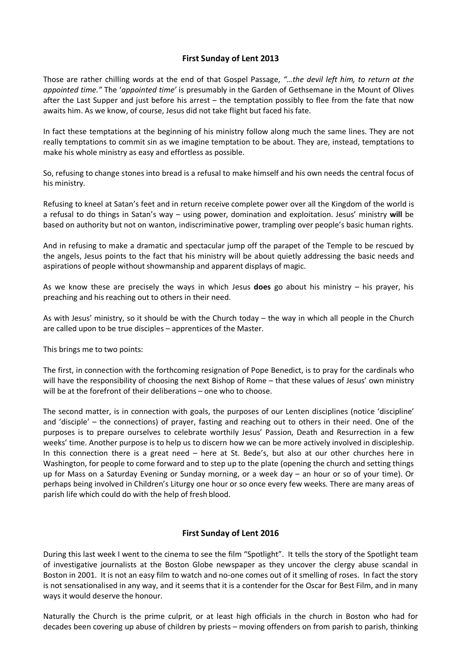# **First Sunday of Lent 2013**

Those are rather chilling words at the end of that Gospel Passage, *"…the devil left him, to return at the appointed time."* The '*appointed time'* is presumably in the Garden of Gethsemane in the Mount of Olives after the Last Supper and just before his arrest – the temptation possibly to flee from the fate that now awaits him. As we know, of course, Jesus did not take flight but faced his fate.

In fact these temptations at the beginning of his ministry follow along much the same lines. They are not really temptations to commit sin as we imagine temptation to be about. They are, instead, temptations to make his whole ministry as easy and effortless as possible.

So, refusing to change stones into bread is a refusal to make himself and his own needs the central focus of his ministry.

Refusing to kneel at Satan's feet and in return receive complete power over all the Kingdom of the world is a refusal to do things in Satan's way – using power, domination and exploitation. Jesus' ministry **will** be based on authority but not on wanton, indiscriminative power, trampling over people's basic human rights.

And in refusing to make a dramatic and spectacular jump off the parapet of the Temple to be rescued by the angels, Jesus points to the fact that his ministry will be about quietly addressing the basic needs and aspirations of people without showmanship and apparent displays of magic.

As we know these are precisely the ways in which Jesus **does** go about his ministry – his prayer, his preaching and his reaching out to others in their need.

As with Jesus' ministry, so it should be with the Church today – the way in which all people in the Church are called upon to be true disciples – apprentices of the Master.

This brings me to two points:

The first, in connection with the forthcoming resignation of Pope Benedict, is to pray for the cardinals who will have the responsibility of choosing the next Bishop of Rome – that these values of Jesus' own ministry will be at the forefront of their deliberations – one who to choose.

The second matter, is in connection with goals, the purposes of our Lenten disciplines (notice 'discipline' and 'disciple' – the connections) of prayer, fasting and reaching out to others in their need. One of the purposes is to prepare ourselves to celebrate worthily Jesus' Passion, Death and Resurrection in a few weeks' time. Another purpose is to help us to discern how we can be more actively involved in discipleship. In this connection there is a great need – here at St. Bede's, but also at our other churches here in Washington, for people to come forward and to step up to the plate (opening the church and setting things up for Mass on a Saturday Evening or Sunday morning, or a week day – an hour or so of your time). Or perhaps being involved in Children's Liturgy one hour or so once every few weeks. There are many areas of parish life which could do with the help of fresh blood.

#### **First Sunday of Lent 2016**

During this last week I went to the cinema to see the film "Spotlight". It tells the story of the Spotlight team of investigative journalists at the Boston Globe newspaper as they uncover the clergy abuse scandal in Boston in 2001. It is not an easy film to watch and no-one comes out of it smelling of roses. In fact the story is not sensationalised in any way, and it seems that it is a contender for the Oscar for Best Film, and in many ways it would deserve the honour.

Naturally the Church is the prime culprit, or at least high officials in the church in Boston who had for decades been covering up abuse of children by priests – moving offenders on from parish to parish, thinking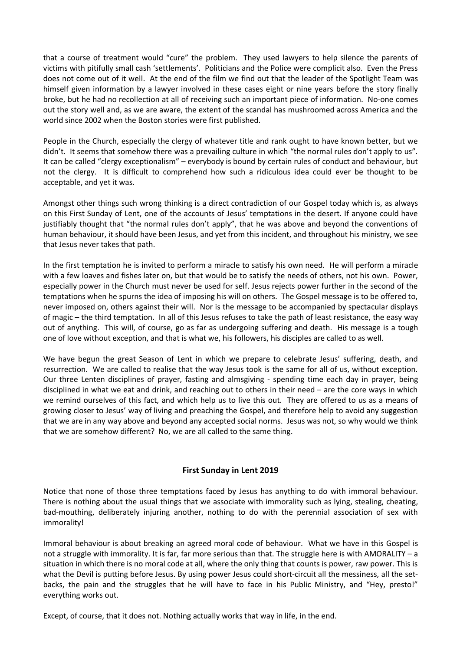that a course of treatment would "cure" the problem. They used lawyers to help silence the parents of victims with pitifully small cash 'settlements'. Politicians and the Police were complicit also. Even the Press does not come out of it well. At the end of the film we find out that the leader of the Spotlight Team was himself given information by a lawyer involved in these cases eight or nine years before the story finally broke, but he had no recollection at all of receiving such an important piece of information. No-one comes out the story well and, as we are aware, the extent of the scandal has mushroomed across America and the world since 2002 when the Boston stories were first published.

People in the Church, especially the clergy of whatever title and rank ought to have known better, but we didn't. It seems that somehow there was a prevailing culture in which "the normal rules don't apply to us". It can be called "clergy exceptionalism" – everybody is bound by certain rules of conduct and behaviour, but not the clergy. It is difficult to comprehend how such a ridiculous idea could ever be thought to be acceptable, and yet it was.

Amongst other things such wrong thinking is a direct contradiction of our Gospel today which is, as always on this First Sunday of Lent, one of the accounts of Jesus' temptations in the desert. If anyone could have justifiably thought that "the normal rules don't apply", that he was above and beyond the conventions of human behaviour, it should have been Jesus, and yet from this incident, and throughout his ministry, we see that Jesus never takes that path.

In the first temptation he is invited to perform a miracle to satisfy his own need. He will perform a miracle with a few loaves and fishes later on, but that would be to satisfy the needs of others, not his own. Power, especially power in the Church must never be used for self. Jesus rejects power further in the second of the temptations when he spurns the idea of imposing his will on others. The Gospel message is to be offered to, never imposed on, others against their will. Nor is the message to be accompanied by spectacular displays of magic – the third temptation. In all of this Jesus refuses to take the path of least resistance, the easy way out of anything. This will, of course, go as far as undergoing suffering and death. His message is a tough one of love without exception, and that is what we, his followers, his disciples are called to as well.

We have begun the great Season of Lent in which we prepare to celebrate Jesus' suffering, death, and resurrection. We are called to realise that the way Jesus took is the same for all of us, without exception. Our three Lenten disciplines of prayer, fasting and almsgiving - spending time each day in prayer, being disciplined in what we eat and drink, and reaching out to others in their need – are the core ways in which we remind ourselves of this fact, and which help us to live this out. They are offered to us as a means of growing closer to Jesus' way of living and preaching the Gospel, and therefore help to avoid any suggestion that we are in any way above and beyond any accepted social norms. Jesus was not, so why would we think that we are somehow different? No, we are all called to the same thing.

# **First Sunday in Lent 2019**

Notice that none of those three temptations faced by Jesus has anything to do with immoral behaviour. There is nothing about the usual things that we associate with immorality such as lying, stealing, cheating, bad-mouthing, deliberately injuring another, nothing to do with the perennial association of sex with immorality!

Immoral behaviour is about breaking an agreed moral code of behaviour. What we have in this Gospel is not a struggle with immorality. It is far, far more serious than that. The struggle here is with AMORALITY – a situation in which there is no moral code at all, where the only thing that counts is power, raw power. This is what the Devil is putting before Jesus. By using power Jesus could short-circuit all the messiness, all the setbacks, the pain and the struggles that he will have to face in his Public Ministry, and "Hey, presto!" everything works out.

Except, of course, that it does not. Nothing actually works that way in life, in the end.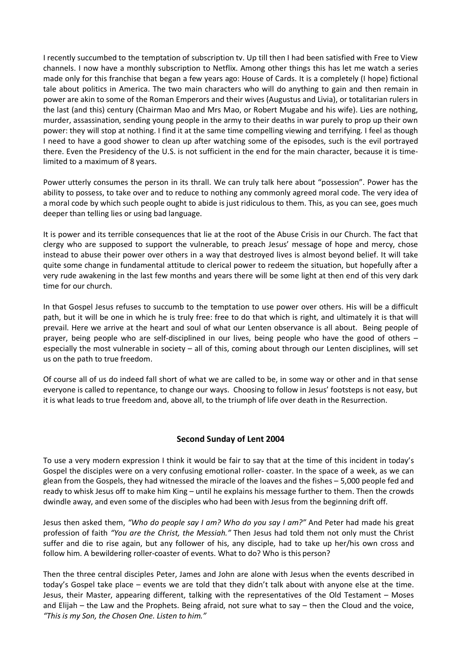I recently succumbed to the temptation of subscription tv. Up till then I had been satisfied with Free to View channels. I now have a monthly subscription to Netflix. Among other things this has let me watch a series made only for this franchise that began a few years ago: House of Cards. It is a completely (I hope) fictional tale about politics in America. The two main characters who will do anything to gain and then remain in power are akin to some of the Roman Emperors and their wives (Augustus and Livia), or totalitarian rulers in the last (and this) century (Chairman Mao and Mrs Mao, or Robert Mugabe and his wife). Lies are nothing, murder, assassination, sending young people in the army to their deaths in war purely to prop up their own power: they will stop at nothing. I find it at the same time compelling viewing and terrifying. I feel as though I need to have a good shower to clean up after watching some of the episodes, such is the evil portrayed there. Even the Presidency of the U.S. is not sufficient in the end for the main character, because it is timelimited to a maximum of 8 years.

Power utterly consumes the person in its thrall. We can truly talk here about "possession". Power has the ability to possess, to take over and to reduce to nothing any commonly agreed moral code. The very idea of a moral code by which such people ought to abide is just ridiculous to them. This, as you can see, goes much deeper than telling lies or using bad language.

It is power and its terrible consequences that lie at the root of the Abuse Crisis in our Church. The fact that clergy who are supposed to support the vulnerable, to preach Jesus' message of hope and mercy, chose instead to abuse their power over others in a way that destroyed lives is almost beyond belief. It will take quite some change in fundamental attitude to clerical power to redeem the situation, but hopefully after a very rude awakening in the last few months and years there will be some light at then end of this very dark time for our church.

In that Gospel Jesus refuses to succumb to the temptation to use power over others. His will be a difficult path, but it will be one in which he is truly free: free to do that which is right, and ultimately it is that will prevail. Here we arrive at the heart and soul of what our Lenten observance is all about. Being people of prayer, being people who are self-disciplined in our lives, being people who have the good of others – especially the most vulnerable in society – all of this, coming about through our Lenten disciplines, will set us on the path to true freedom.

Of course all of us do indeed fall short of what we are called to be, in some way or other and in that sense everyone is called to repentance, to change our ways. Choosing to follow in Jesus' footsteps is not easy, but it is what leads to true freedom and, above all, to the triumph of life over death in the Resurrection.

# **Second Sunday of Lent 2004**

To use a very modern expression I think it would be fair to say that at the time of this incident in today's Gospel the disciples were on a very confusing emotional roller- coaster. In the space of a week, as we can glean from the Gospels, they had witnessed the miracle of the loaves and the fishes – 5,000 people fed and ready to whisk Jesus off to make him King – until he explains his message further to them. Then the crowds dwindle away, and even some of the disciples who had been with Jesus from the beginning drift off.

Jesus then asked them, *"Who do people say I am? Who do you say I am?"* And Peter had made his great profession of faith *"You are the Christ, the Messiah."* Then Jesus had told them not only must the Christ suffer and die to rise again, but any follower of his, any disciple, had to take up her/his own cross and follow him. A bewildering roller-coaster of events. What to do? Who is this person?

Then the three central disciples Peter, James and John are alone with Jesus when the events described in today's Gospel take place – events we are told that they didn't talk about with anyone else at the time. Jesus, their Master, appearing different, talking with the representatives of the Old Testament – Moses and Elijah – the Law and the Prophets. Being afraid, not sure what to say – then the Cloud and the voice, *"This is my Son, the Chosen One. Listen to him."*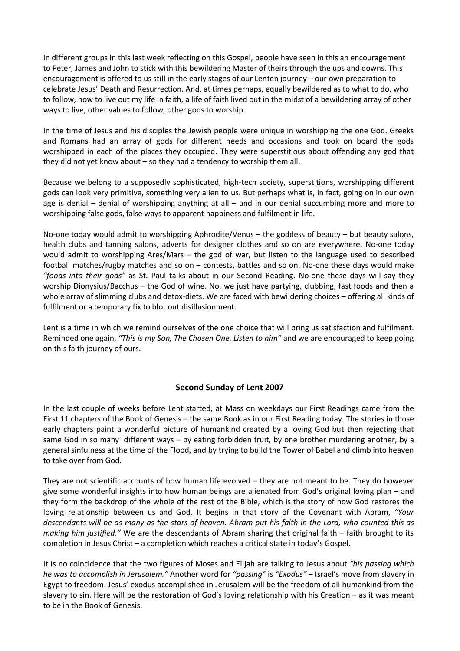In different groups in this last week reflecting on this Gospel, people have seen in this an encouragement to Peter, James and John to stick with this bewildering Master of theirs through the ups and downs. This encouragement is offered to us still in the early stages of our Lenten journey – our own preparation to celebrate Jesus' Death and Resurrection. And, at times perhaps, equally bewildered as to what to do, who to follow, how to live out my life in faith, a life of faith lived out in the midst of a bewildering array of other ways to live, other values to follow, other gods to worship.

In the time of Jesus and his disciples the Jewish people were unique in worshipping the one God. Greeks and Romans had an array of gods for different needs and occasions and took on board the gods worshipped in each of the places they occupied. They were superstitious about offending any god that they did not yet know about – so they had a tendency to worship them all.

Because we belong to a supposedly sophisticated, high-tech society, superstitions, worshipping different gods can look very primitive, something very alien to us. But perhaps what is, in fact, going on in our own age is denial – denial of worshipping anything at all – and in our denial succumbing more and more to worshipping false gods, false ways to apparent happiness and fulfilment in life.

No-one today would admit to worshipping Aphrodite/Venus – the goddess of beauty – but beauty salons, health clubs and tanning salons, adverts for designer clothes and so on are everywhere. No-one today would admit to worshipping Ares/Mars – the god of war, but listen to the language used to described football matches/rugby matches and so on – contests, battles and so on. No-one these days would make *"foods into their gods"* as St. Paul talks about in our Second Reading. No-one these days will say they worship Dionysius/Bacchus – the God of wine. No, we just have partying, clubbing, fast foods and then a whole array of slimming clubs and detox-diets. We are faced with bewildering choices – offering all kinds of fulfilment or a temporary fix to blot out disillusionment.

Lent is a time in which we remind ourselves of the one choice that will bring us satisfaction and fulfilment. Reminded one again, *"This is my Son, The Chosen One. Listen to him"* and we are encouraged to keep going on this faith journey of ours.

# **Second Sunday of Lent 2007**

In the last couple of weeks before Lent started, at Mass on weekdays our First Readings came from the First 11 chapters of the Book of Genesis – the same Book as in our First Reading today. The stories in those early chapters paint a wonderful picture of humankind created by a loving God but then rejecting that same God in so many different ways – by eating forbidden fruit, by one brother murdering another, by a general sinfulness at the time of the Flood, and by trying to build the Tower of Babel and climb into heaven to take over from God.

They are not scientific accounts of how human life evolved – they are not meant to be. They do however give some wonderful insights into how human beings are alienated from God's original loving plan – and they form the backdrop of the whole of the rest of the Bible, which is the story of how God restores the loving relationship between us and God. It begins in that story of the Covenant with Abram, *"Your descendants will be as many as the stars of heaven. Abram put his faith in the Lord, who counted this as making him justified."* We are the descendants of Abram sharing that original faith – faith brought to its completion in Jesus Christ – a completion which reaches a critical state in today's Gospel.

It is no coincidence that the two figures of Moses and Elijah are talking to Jesus about *"his passing which he was to accomplish in Jerusalem."* Another word for *"passing"* is *"Exodus"* – Israel's move from slavery in Egypt to freedom. Jesus' exodus accomplished in Jerusalem will be the freedom of all humankind from the slavery to sin. Here will be the restoration of God's loving relationship with his Creation – as it was meant to be in the Book of Genesis.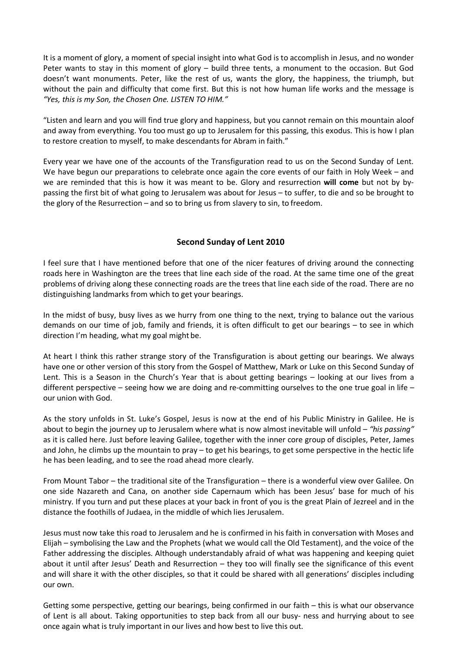It is a moment of glory, a moment of special insight into what God is to accomplish in Jesus, and no wonder Peter wants to stay in this moment of glory – build three tents, a monument to the occasion. But God doesn't want monuments. Peter, like the rest of us, wants the glory, the happiness, the triumph, but without the pain and difficulty that come first. But this is not how human life works and the message is *"Yes, this is my Son, the Chosen One. LISTEN TO HIM."*

"Listen and learn and you will find true glory and happiness, but you cannot remain on this mountain aloof and away from everything. You too must go up to Jerusalem for this passing, this exodus. This is how I plan to restore creation to myself, to make descendants for Abram in faith."

Every year we have one of the accounts of the Transfiguration read to us on the Second Sunday of Lent. We have begun our preparations to celebrate once again the core events of our faith in Holy Week – and we are reminded that this is how it was meant to be. Glory and resurrection **will come** but not by bypassing the first bit of what going to Jerusalem was about for Jesus – to suffer, to die and so be brought to the glory of the Resurrection – and so to bring us from slavery to sin, to freedom.

#### **Second Sunday of Lent 2010**

I feel sure that I have mentioned before that one of the nicer features of driving around the connecting roads here in Washington are the trees that line each side of the road. At the same time one of the great problems of driving along these connecting roads are the trees that line each side of the road. There are no distinguishing landmarks from which to get your bearings.

In the midst of busy, busy lives as we hurry from one thing to the next, trying to balance out the various demands on our time of job, family and friends, it is often difficult to get our bearings – to see in which direction I'm heading, what my goal might be.

At heart I think this rather strange story of the Transfiguration is about getting our bearings. We always have one or other version of this story from the Gospel of Matthew, Mark or Luke on this Second Sunday of Lent. This is a Season in the Church's Year that is about getting bearings – looking at our lives from a different perspective – seeing how we are doing and re-committing ourselves to the one true goal in life – our union with God.

As the story unfolds in St. Luke's Gospel, Jesus is now at the end of his Public Ministry in Galilee. He is about to begin the journey up to Jerusalem where what is now almost inevitable will unfold – *"his passing"*  as it is called here. Just before leaving Galilee, together with the inner core group of disciples, Peter, James and John, he climbs up the mountain to pray – to get his bearings, to get some perspective in the hectic life he has been leading, and to see the road ahead more clearly.

From Mount Tabor – the traditional site of the Transfiguration – there is a wonderful view over Galilee. On one side Nazareth and Cana, on another side Capernaum which has been Jesus' base for much of his ministry. If you turn and put these places at your back in front of you is the great Plain of Jezreel and in the distance the foothills of Judaea, in the middle of which lies Jerusalem.

Jesus must now take this road to Jerusalem and he is confirmed in his faith in conversation with Moses and Elijah – symbolising the Law and the Prophets (what we would call the Old Testament), and the voice of the Father addressing the disciples. Although understandably afraid of what was happening and keeping quiet about it until after Jesus' Death and Resurrection – they too will finally see the significance of this event and will share it with the other disciples, so that it could be shared with all generations' disciples including our own.

Getting some perspective, getting our bearings, being confirmed in our faith – this is what our observance of Lent is all about. Taking opportunities to step back from all our busy- ness and hurrying about to see once again what is truly important in our lives and how best to live this out.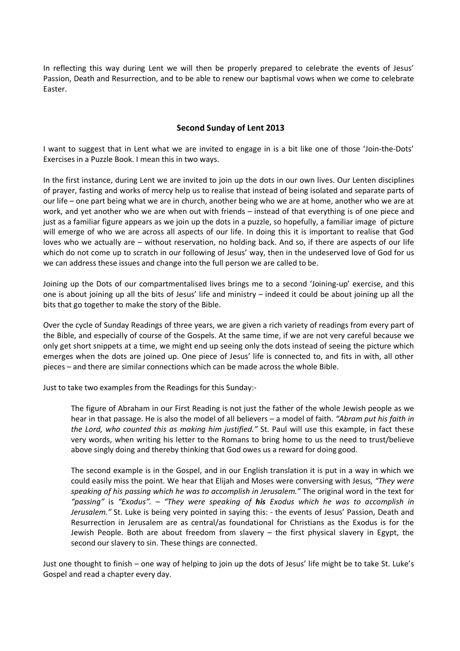In reflecting this way during Lent we will then be properly prepared to celebrate the events of Jesus' Passion, Death and Resurrection, and to be able to renew our baptismal vows when we come to celebrate Easter.

#### **Second Sunday of Lent 2013**

I want to suggest that in Lent what we are invited to engage in is a bit like one of those 'Join-the-Dots' Exercises in a Puzzle Book. I mean this in two ways.

In the first instance, during Lent we are invited to join up the dots in our own lives. Our Lenten disciplines of prayer, fasting and works of mercy help us to realise that instead of being isolated and separate parts of our life – one part being what we are in church, another being who we are at home, another who we are at work, and yet another who we are when out with friends – instead of that everything is of one piece and just as a familiar figure appears as we join up the dots in a puzzle, so hopefully, a familiar image of picture will emerge of who we are across all aspects of our life. In doing this it is important to realise that God loves who we actually are – without reservation, no holding back. And so, if there are aspects of our life which do not come up to scratch in our following of Jesus' way, then in the undeserved love of God for us we can address these issues and change into the full person we are called to be.

Joining up the Dots of our compartmentalised lives brings me to a second 'Joining-up' exercise, and this one is about joining up all the bits of Jesus' life and ministry – indeed it could be about joining up all the bits that go together to make the story of the Bible.

Over the cycle of Sunday Readings of three years, we are given a rich variety of readings from every part of the Bible, and especially of course of the Gospels. At the same time, if we are not very careful because we only get short snippets at a time, we might end up seeing only the dots instead of seeing the picture which emerges when the dots are joined up. One piece of Jesus' life is connected to, and fits in with, all other pieces – and there are similar connections which can be made across the whole Bible.

Just to take two examples from the Readings for this Sunday:-

The figure of Abraham in our First Reading is not just the father of the whole Jewish people as we hear in that passage. He is also the model of all believers – a model of faith. *"Abram put his faith in the Lord, who counted this as making him justified."* St. Paul will use this example, in fact these very words, when writing his letter to the Romans to bring home to us the need to trust/believe above singly doing and thereby thinking that God owes us a reward for doing good.

The second example is in the Gospel, and in our English translation it is put in a way in which we could easily miss the point. We hear that Elijah and Moses were conversing with Jesus, *"They were speaking of his passing which he was to accomplish in Jerusalem."* The original word in the text for *"passing"* is *"Exodus".* – *"They were speaking of his Exodus which he was to accomplish in Jerusalem."* St. Luke is being very pointed in saying this: - the events of Jesus' Passion, Death and Resurrection in Jerusalem are as central/as foundational for Christians as the Exodus is for the Jewish People. Both are about freedom from slavery – the first physical slavery in Egypt, the second our slavery to sin. These things are connected.

Just one thought to finish – one way of helping to join up the dots of Jesus' life might be to take St. Luke's Gospel and read a chapter every day.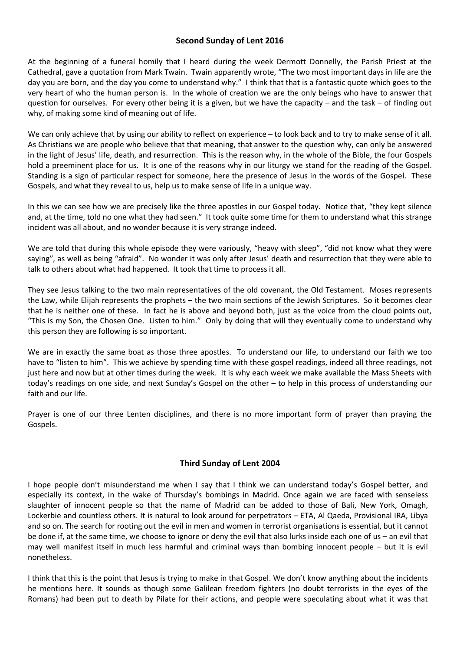#### **Second Sunday of Lent 2016**

At the beginning of a funeral homily that I heard during the week Dermott Donnelly, the Parish Priest at the Cathedral, gave a quotation from Mark Twain. Twain apparently wrote, "The two most important days in life are the day you are born, and the day you come to understand why." I think that that is a fantastic quote which goes to the very heart of who the human person is. In the whole of creation we are the only beings who have to answer that question for ourselves. For every other being it is a given, but we have the capacity – and the task – of finding out why, of making some kind of meaning out of life.

We can only achieve that by using our ability to reflect on experience – to look back and to try to make sense of it all. As Christians we are people who believe that that meaning, that answer to the question why, can only be answered in the light of Jesus' life, death, and resurrection. This is the reason why, in the whole of the Bible, the four Gospels hold a preeminent place for us. It is one of the reasons why in our liturgy we stand for the reading of the Gospel. Standing is a sign of particular respect for someone, here the presence of Jesus in the words of the Gospel. These Gospels, and what they reveal to us, help us to make sense of life in a unique way.

In this we can see how we are precisely like the three apostles in our Gospel today. Notice that, "they kept silence and, at the time, told no one what they had seen." It took quite some time for them to understand what this strange incident was all about, and no wonder because it is very strange indeed.

We are told that during this whole episode they were variously, "heavy with sleep", "did not know what they were saying", as well as being "afraid". No wonder it was only after Jesus' death and resurrection that they were able to talk to others about what had happened. It took that time to process it all.

They see Jesus talking to the two main representatives of the old covenant, the Old Testament. Moses represents the Law, while Elijah represents the prophets – the two main sections of the Jewish Scriptures. So it becomes clear that he is neither one of these. In fact he is above and beyond both, just as the voice from the cloud points out, "This is my Son, the Chosen One. Listen to him." Only by doing that will they eventually come to understand why this person they are following is so important.

We are in exactly the same boat as those three apostles. To understand our life, to understand our faith we too have to "listen to him". This we achieve by spending time with these gospel readings, indeed all three readings, not just here and now but at other times during the week. It is why each week we make available the Mass Sheets with today's readings on one side, and next Sunday's Gospel on the other – to help in this process of understanding our faith and our life.

Prayer is one of our three Lenten disciplines, and there is no more important form of prayer than praying the Gospels.

# **Third Sunday of Lent 2004**

I hope people don't misunderstand me when I say that I think we can understand today's Gospel better, and especially its context, in the wake of Thursday's bombings in Madrid. Once again we are faced with senseless slaughter of innocent people so that the name of Madrid can be added to those of Bali, New York, Omagh, Lockerbie and countless others. It is natural to look around for perpetrators – ETA, Al Qaeda, Provisional IRA, Libya and so on. The search for rooting out the evil in men and women in terrorist organisations is essential, but it cannot be done if, at the same time, we choose to ignore or deny the evil that also lurks inside each one of us – an evil that may well manifest itself in much less harmful and criminal ways than bombing innocent people – but it is evil nonetheless.

I think that this is the point that Jesus is trying to make in that Gospel. We don't know anything about the incidents he mentions here. It sounds as though some Galilean freedom fighters (no doubt terrorists in the eyes of the Romans) had been put to death by Pilate for their actions, and people were speculating about what it was that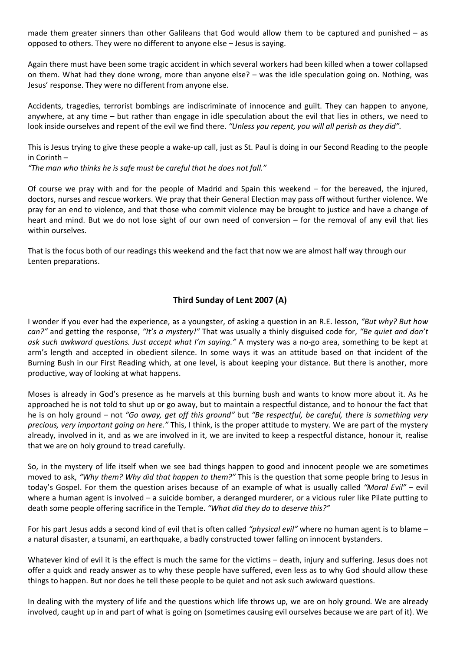made them greater sinners than other Galileans that God would allow them to be captured and punished – as opposed to others. They were no different to anyone else – Jesus is saying.

Again there must have been some tragic accident in which several workers had been killed when a tower collapsed on them. What had they done wrong, more than anyone else? – was the idle speculation going on. Nothing, was Jesus' response. They were no different from anyone else.

Accidents, tragedies, terrorist bombings are indiscriminate of innocence and guilt. They can happen to anyone, anywhere, at any time – but rather than engage in idle speculation about the evil that lies in others, we need to look inside ourselves and repent of the evil we find there. *"Unless you repent, you will all perish as they did".*

This is Jesus trying to give these people a wake-up call, just as St. Paul is doing in our Second Reading to the people in Corinth –

*"The man who thinks he is safe must be careful that he does not fall."*

Of course we pray with and for the people of Madrid and Spain this weekend – for the bereaved, the injured, doctors, nurses and rescue workers. We pray that their General Election may pass off without further violence. We pray for an end to violence, and that those who commit violence may be brought to justice and have a change of heart and mind. But we do not lose sight of our own need of conversion – for the removal of any evil that lies within ourselves.

That is the focus both of our readings this weekend and the fact that now we are almost half way through our Lenten preparations.

# **Third Sunday of Lent 2007 (A)**

I wonder if you ever had the experience, as a youngster, of asking a question in an R.E. lesson, *"But why? But how can?"* and getting the response, *"It's a mystery!"* That was usually a thinly disguised code for, *"Be quiet and don't ask such awkward questions. Just accept what I'm saying."* A mystery was a no-go area, something to be kept at arm's length and accepted in obedient silence. In some ways it was an attitude based on that incident of the Burning Bush in our First Reading which, at one level, is about keeping your distance. But there is another, more productive, way of looking at what happens.

Moses is already in God's presence as he marvels at this burning bush and wants to know more about it. As he approached he is not told to shut up or go away, but to maintain a respectful distance, and to honour the fact that he is on holy ground – not *"Go away, get off this ground"* but *"Be respectful, be careful, there is something very precious, very important going on here."* This, I think, is the proper attitude to mystery. We are part of the mystery already, involved in it, and as we are involved in it, we are invited to keep a respectful distance, honour it, realise that we are on holy ground to tread carefully.

So, in the mystery of life itself when we see bad things happen to good and innocent people we are sometimes moved to ask, *"Why them? Why did that happen to them?"* This is the question that some people bring to Jesus in today's Gospel. For them the question arises because of an example of what is usually called *"Moral Evil"* – evil where a human agent is involved – a suicide bomber, a deranged murderer, or a vicious ruler like Pilate putting to death some people offering sacrifice in the Temple. *"What did they do to deserve this?"*

For his part Jesus adds a second kind of evil that is often called *"physical evil"* where no human agent is to blame – a natural disaster, a tsunami, an earthquake, a badly constructed tower falling on innocent bystanders.

Whatever kind of evil it is the effect is much the same for the victims – death, injury and suffering. Jesus does not offer a quick and ready answer as to why these people have suffered, even less as to why God should allow these things to happen. But nor does he tell these people to be quiet and not ask such awkward questions.

In dealing with the mystery of life and the questions which life throws up, we are on holy ground. We are already involved, caught up in and part of what is going on (sometimes causing evil ourselves because we are part of it). We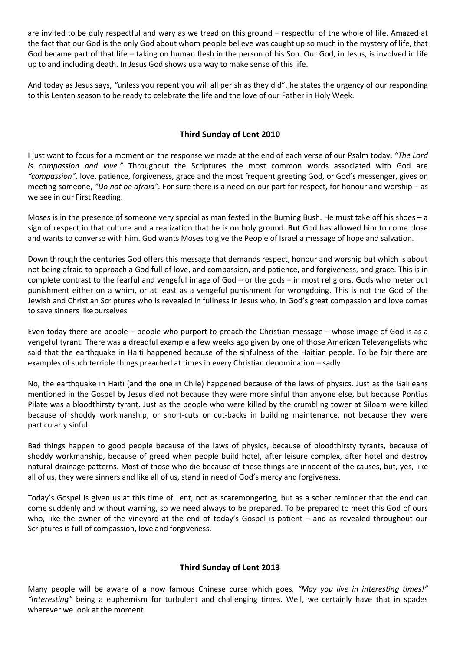are invited to be duly respectful and wary as we tread on this ground – respectful of the whole of life. Amazed at the fact that our God is the only God about whom people believe was caught up so much in the mystery of life, that God became part of that life – taking on human flesh in the person of his Son. Our God, in Jesus, is involved in life up to and including death. In Jesus God shows us a way to make sense of this life.

And today as Jesus says, *"*unless you repent you will all perish as they did", he states the urgency of our responding to this Lenten season to be ready to celebrate the life and the love of our Father in Holy Week.

# **Third Sunday of Lent 2010**

I just want to focus for a moment on the response we made at the end of each verse of our Psalm today, *"The Lord is compassion and love."* Throughout the Scriptures the most common words associated with God are *"compassion",* love, patience, forgiveness, grace and the most frequent greeting God, or God's messenger, gives on meeting someone, *"Do not be afraid".* For sure there is a need on our part for respect, for honour and worship – as we see in our First Reading.

Moses is in the presence of someone very special as manifested in the Burning Bush. He must take off his shoes – a sign of respect in that culture and a realization that he is on holy ground. **But** God has allowed him to come close and wants to converse with him. God wants Moses to give the People of Israel a message of hope and salvation.

Down through the centuries God offers this message that demands respect, honour and worship but which is about not being afraid to approach a God full of love, and compassion, and patience, and forgiveness, and grace. This is in complete contrast to the fearful and vengeful image of God – or the gods – in most religions. Gods who meter out punishment either on a whim, or at least as a vengeful punishment for wrongdoing. This is not the God of the Jewish and Christian Scriptures who is revealed in fullness in Jesus who, in God's great compassion and love comes to save sinners likeourselves.

Even today there are people – people who purport to preach the Christian message – whose image of God is as a vengeful tyrant. There was a dreadful example a few weeks ago given by one of those American Televangelists who said that the earthquake in Haiti happened because of the sinfulness of the Haitian people. To be fair there are examples of such terrible things preached at times in every Christian denomination – sadly!

No, the earthquake in Haiti (and the one in Chile) happened because of the laws of physics. Just as the Galileans mentioned in the Gospel by Jesus died not because they were more sinful than anyone else, but because Pontius Pilate was a bloodthirsty tyrant. Just as the people who were killed by the crumbling tower at Siloam were killed because of shoddy workmanship, or short-cuts or cut-backs in building maintenance, not because they were particularly sinful.

Bad things happen to good people because of the laws of physics, because of bloodthirsty tyrants, because of shoddy workmanship, because of greed when people build hotel, after leisure complex, after hotel and destroy natural drainage patterns. Most of those who die because of these things are innocent of the causes, but, yes, like all of us, they were sinners and like all of us, stand in need of God's mercy and forgiveness.

Today's Gospel is given us at this time of Lent, not as scaremongering, but as a sober reminder that the end can come suddenly and without warning, so we need always to be prepared. To be prepared to meet this God of ours who, like the owner of the vineyard at the end of today's Gospel is patient – and as revealed throughout our Scriptures is full of compassion, love and forgiveness.

# **Third Sunday of Lent 2013**

Many people will be aware of a now famous Chinese curse which goes, *"May you live in interesting times!" "Interesting"* being a euphemism for turbulent and challenging times. Well, we certainly have that in spades wherever we look at the moment.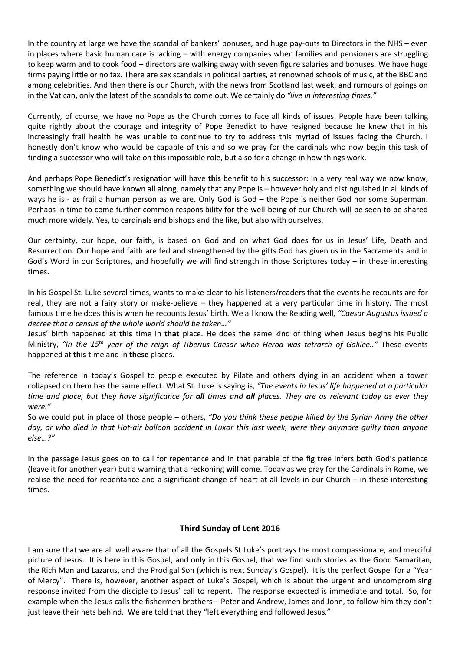In the country at large we have the scandal of bankers' bonuses, and huge pay-outs to Directors in the NHS – even in places where basic human care is lacking – with energy companies when families and pensioners are struggling to keep warm and to cook food – directors are walking away with seven figure salaries and bonuses. We have huge firms paying little or no tax. There are sex scandals in political parties, at renowned schools of music, at the BBC and among celebrities. And then there is our Church, with the news from Scotland last week, and rumours of goings on in the Vatican, only the latest of the scandals to come out. We certainly do *"live in interesting times."*

Currently, of course, we have no Pope as the Church comes to face all kinds of issues. People have been talking quite rightly about the courage and integrity of Pope Benedict to have resigned because he knew that in his increasingly frail health he was unable to continue to try to address this myriad of issues facing the Church. I honestly don't know who would be capable of this and so we pray for the cardinals who now begin this task of finding a successor who will take on this impossible role, but also for a change in how things work.

And perhaps Pope Benedict's resignation will have **this** benefit to his successor: In a very real way we now know, something we should have known all along, namely that any Pope is – however holy and distinguished in all kinds of ways he is - as frail a human person as we are. Only God is God – the Pope is neither God nor some Superman. Perhaps in time to come further common responsibility for the well-being of our Church will be seen to be shared much more widely. Yes, to cardinals and bishops and the like, but also with ourselves.

Our certainty, our hope, our faith, is based on God and on what God does for us in Jesus' Life, Death and Resurrection. Our hope and faith are fed and strengthened by the gifts God has given us in the Sacraments and in God's Word in our Scriptures, and hopefully we will find strength in those Scriptures today – in these interesting times.

In his Gospel St. Luke several times, wants to make clear to his listeners/readers that the events he recounts are for real, they are not a fairy story or make-believe – they happened at a very particular time in history. The most famous time he does this is when he recounts Jesus' birth. We all know the Reading well, *"Caesar Augustus issued a decree that a census of the whole world should be taken…"*

Jesus' birth happened at **this** time in **that** place. He does the same kind of thing when Jesus begins his Public Ministry, *"In the 15th year of the reign of Tiberius Caesar when Herod was tetrarch of Galilee.."* These events happened at **this** time and in **these** places.

The reference in today's Gospel to people executed by Pilate and others dying in an accident when a tower collapsed on them has the same effect. What St. Luke is saying is, *"The events in Jesus' life happened at a particular time and place, but they have significance for all times and all places. They are as relevant today as ever they were."*

So we could put in place of those people – others, *"Do you think these people killed by the Syrian Army the other day, or who died in that Hot-air balloon accident in Luxor this last week, were they anymore guilty than anyone else…?"*

In the passage Jesus goes on to call for repentance and in that parable of the fig tree infers both God's patience (leave it for another year) but a warning that a reckoning **will** come. Today as we pray for the Cardinals in Rome, we realise the need for repentance and a significant change of heart at all levels in our Church – in these interesting times.

# **Third Sunday of Lent 2016**

I am sure that we are all well aware that of all the Gospels St Luke's portrays the most compassionate, and merciful picture of Jesus. It is here in this Gospel, and only in this Gospel, that we find such stories as the Good Samaritan, the Rich Man and Lazarus, and the Prodigal Son (which is next Sunday's Gospel). It is the perfect Gospel for a "Year of Mercy". There is, however, another aspect of Luke's Gospel, which is about the urgent and uncompromising response invited from the disciple to Jesus' call to repent. The response expected is immediate and total. So, for example when the Jesus calls the fishermen brothers – Peter and Andrew, James and John, to follow him they don't just leave their nets behind. We are told that they "left everything and followed Jesus."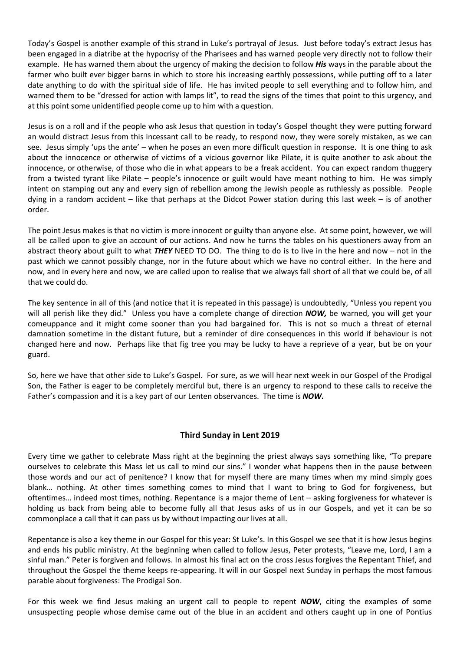Today's Gospel is another example of this strand in Luke's portrayal of Jesus. Just before today's extract Jesus has been engaged in a diatribe at the hypocrisy of the Pharisees and has warned people very directly not to follow their example. He has warned them about the urgency of making the decision to follow *His* ways in the parable about the farmer who built ever bigger barns in which to store his increasing earthly possessions, while putting off to a later date anything to do with the spiritual side of life. He has invited people to sell everything and to follow him, and warned them to be "dressed for action with lamps lit", to read the signs of the times that point to this urgency, and at this point some unidentified people come up to him with a question.

Jesus is on a roll and if the people who ask Jesus that question in today's Gospel thought they were putting forward an would distract Jesus from this incessant call to be ready, to respond now, they were sorely mistaken, as we can see. Jesus simply 'ups the ante' – when he poses an even more difficult question in response. It is one thing to ask about the innocence or otherwise of victims of a vicious governor like Pilate, it is quite another to ask about the innocence, or otherwise, of those who die in what appears to be a freak accident. You can expect random thuggery from a twisted tyrant like Pilate – people's innocence or guilt would have meant nothing to him. He was simply intent on stamping out any and every sign of rebellion among the Jewish people as ruthlessly as possible. People dying in a random accident – like that perhaps at the Didcot Power station during this last week – is of another order.

The point Jesus makes is that no victim is more innocent or guilty than anyone else. At some point, however, we will all be called upon to give an account of our actions. And now he turns the tables on his questioners away from an abstract theory about guilt to what *THEY* NEED TO DO. The thing to do is to live in the here and now – not in the past which we cannot possibly change, nor in the future about which we have no control either. In the here and now, and in every here and now, we are called upon to realise that we always fall short of all that we could be, of all that we could do.

The key sentence in all of this (and notice that it is repeated in this passage) is undoubtedly, "Unless you repent you will all perish like they did." Unless you have a complete change of direction *NOW,* be warned, you will get your comeuppance and it might come sooner than you had bargained for. This is not so much a threat of eternal damnation sometime in the distant future, but a reminder of dire consequences in this world if behaviour is not changed here and now. Perhaps like that fig tree you may be lucky to have a reprieve of a year, but be on your guard.

So, here we have that other side to Luke's Gospel. For sure, as we will hear next week in our Gospel of the Prodigal Son, the Father is eager to be completely merciful but, there is an urgency to respond to these calls to receive the Father's compassion and it is a key part of our Lenten observances. The time is *NOW.*

# **Third Sunday in Lent 2019**

Every time we gather to celebrate Mass right at the beginning the priest always says something like, "To prepare ourselves to celebrate this Mass let us call to mind our sins." I wonder what happens then in the pause between those words and our act of penitence? I know that for myself there are many times when my mind simply goes blank… nothing. At other times something comes to mind that I want to bring to God for forgiveness, but oftentimes… indeed most times, nothing. Repentance is a major theme of Lent – asking forgiveness for whatever is holding us back from being able to become fully all that Jesus asks of us in our Gospels, and yet it can be so commonplace a call that it can pass us by without impacting our lives at all.

Repentance is also a key theme in our Gospel for this year: St Luke's. In this Gospel we see that it is how Jesus begins and ends his public ministry. At the beginning when called to follow Jesus, Peter protests, "Leave me, Lord, I am a sinful man." Peter is forgiven and follows. In almost his final act on the cross Jesus forgives the Repentant Thief, and throughout the Gospel the theme keeps re-appearing. It will in our Gospel next Sunday in perhaps the most famous parable about forgiveness: The Prodigal Son.

For this week we find Jesus making an urgent call to people to repent *NOW*, citing the examples of some unsuspecting people whose demise came out of the blue in an accident and others caught up in one of Pontius